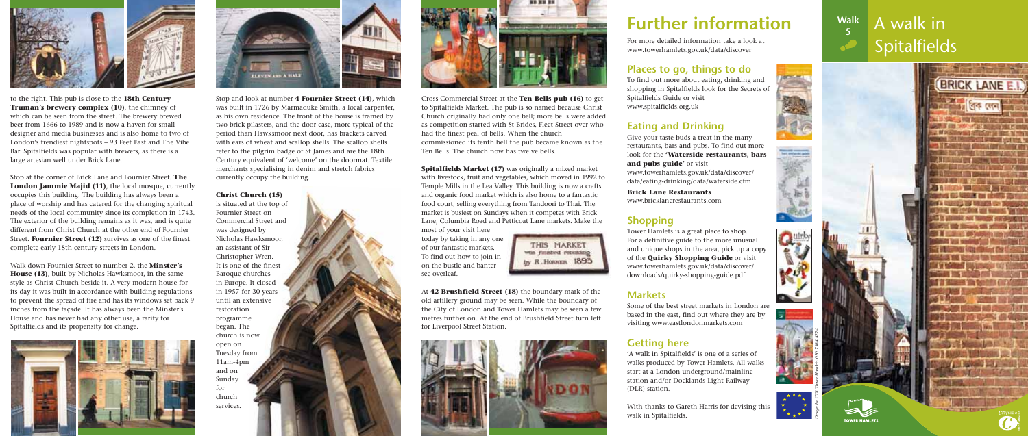# **Further information**

For more detailed information take a look at www.towerhamlets.gov.uk/data/discover

# **Places to go, things to do**

To find out more about eating, drinking and shopping in Spitalfields look for the Secrets of Spitalfields Guide or visit www.spitalfields.org.uk

# **Eating and Drinking**

Give your taste buds a treat in the many restaurants, bars and pubs. To find out more look for the **'Waterside restaurants, bars and pubs guide'** or visit www.towerhamlets.gov.uk/data/discover/ data/eating-drinking/data/waterside.cfm







**Brick Lane Restaurants** www.bricklanerestaurants.com

# **Shopping**

Tower Hamlets is a great place to shop. For a definitive guide to the more unusual and unique shops in the area, pick up a copy of the **Quirky Shopping Guide** or visit www.towerhamlets.gov.uk/data/discover/ downloads/quirky-shopping-guide.pdf

# **Markets**

Some of the best street markets in London are based in the east, find out where they are by visiting www.eastlondonmarkets.com

# **Getting here**

'A walk in Spitalfields' is one of a series of walks produced by Tower Hamlets. All walks start at a London underground/mainline station and/or Docklands Light Railway (DLR) station.

With thanks to Gareth Harris for devising this walk in Spitalfields.

# A walk in **Spitalfields Walk**

**5**



to the right. This pub is close to the **18th Century Truman's brewery complex (10)**, the chimney of which can be seen from the street. The brewery brewed beer from 1666 to 1989 and is now a haven for small designer and media businesses and is also home to two of London's trendiest nightspots – 93 Feet East and The Vibe Bar. Spitalfields was popular with brewers, as there is a large artesian well under Brick Lane.

Stop at the corner of Brick Lane and Fournier Street. **The London Jammie Majid (11)**, the local mosque, currently occupies this building. The building has always been a place of worship and has catered for the changing spiritual needs of the local community since its completion in 1743. The exterior of the building remains as it was, and is quite different from Christ Church at the other end of Fournier Street. **Fournier Street (12)** survives as one of the finest complete early 18th century streets in London.

**Spitalfields Market (17)** was originally a mixed market with livestock, fruit and vegetables, which moved in 1992 to Temple Mills in the Lea Valley. This building is now a crafts and organic food market which is also home to a fantastic food court, selling everything from Tandoori to Thai. The market is busiest on Sundays when it competes with Brick Lane, Columbia Road and Petticoat Lane markets. Make the most of your visit here

> THIS MARKET whs funshed rebusing by R. Horoan 1893

Walk down Fournier Street to number 2, the **Minster's House (13)**, built by Nicholas Hawksmoor, in the same style as Christ Church beside it. A very modern house for its day it was built in accordance with building regulations to prevent the spread of fire and has its windows set back 9 inches from the façade. It has always been the Minster's House and has never had any other use, a rarity for Spitalfields and its propensity for change.





Stop and look at number **4 Fournier Street (14)**, which was built in 1726 by Marmaduke Smith, a local carpenter, as his own residence. The front of the house is framed by two brick pilasters, and the door case, more typical of the period than Hawksmoor next door, has brackets carved with ears of wheat and scallop shells. The scallop shells refer to the pilgrim badge of St James and are the 18th Century equivalent of 'welcome' on the doormat. Textile merchants specialising in denim and stretch fabrics currently occupy the building.

### **Christ Church (15)**

is situated at the top of Fournier Street on Commercial Street and was designed by Nicholas Hawksmoor, an assistant of Sir Christopher Wren. It is one of the finest Baroque churches in Europe. It closed in 1957 for 30 years until an extensive restoration programme began. The church is now open on Tuesday from 11am-4pm and on Sunday for church services.



Cross Commercial Street at the **Ten Bells pub (16)** to get to Spitalfields Market. The pub is so named because Christ Church originally had only one bell; more bells were added as competition started with St Brides, Fleet Street over who had the finest peal of bells. When the church commissioned its tenth bell the pub became known as the Ten Bells. The church now has twelve bells.

today by taking in any one of our fantastic markets. To find out how to join in on the bustle and banter see overleaf.

At **42 Brushfield Street (18)** the boundary mark of the old artillery ground may be seen. While the boundary of the City of London and Tower Hamlets may be seen a few metres further on. At the end of Brushfield Street turn left for Liverpool Street Station.